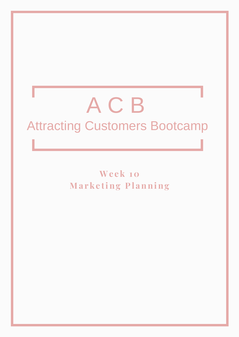# A C B Attracting Customers Bootcamp

**We e k 10 Ma r k e ting Pl anning**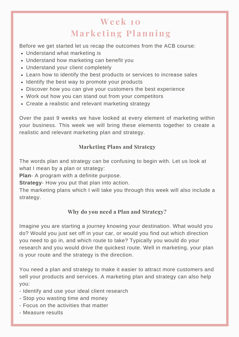# **We e k 10 Ma r k e ting Pl anning**

Before we get started let us recap the outcomes from the ACB course:

- Understand what marketing is
- Understand how marketing can benefit you
- Understand your client completely
- Learn how to identify the best products or services to increase sales
- Identify the best way to promote your products
- Discover how you can give your customers the best experience
- Work out how you can stand out from your competitors
- Create a realistic and relevant marketing strategy

Over the past 9 weeks we have looked at every element of marketing within your business. This week we will bring these elements together to create a realistic and relevant marketing plan and strategy.

# **Marketing Plans and Strategy**

The words plan and strategy can be confusing to begin with. Let us look at what I mean by a plan or strategy:

**Plan**- A program with a definite purpose.

**Strategy**- How you put that plan into action.

The marketing plans which I will take you through this week will also include a strategy.

# **Why do you need a Plan and Strategy?**

Imagine you are starting a journey knowing your destination. What would you do? Would you just set off in your car, or would you find out which direction you need to go in, and which route to take? Typically you would do your research and you would drive the quickest route. Well in marketing, your plan is your route and the strategy is the direction.

You need a plan and strategy to make it easier to attract more customers and sell your products and services. A marketing plan and strategy can also help you:

- Identify and use your ideal client research
- Stop you wasting time and money
- Focus on the activities that matter
- Measure results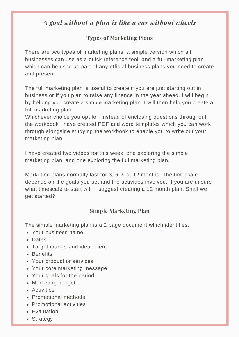# *A goal without a plan is like a car without wheels*

# **Types of Marketing Plans**

There are two types of marketing plans: a simple version which all businesses can use as a quick reference tool; and a full marketing plan which can be used as part of any official business plans you need to create and present.

The full marketing plan is useful to create if you are just starting out in business or if you plan to raise any finance in the year ahead. I will begin by helping you create a simple marketing plan. I will then help you create a full marketing plan.

Whichever choice you opt for, instead of enclosing questions throughout the workbook I have created PDF and word templates which you can work through alongside studying the workbook to enable you to write out your marketing plan.

I have created two videos for this week, one exploring the simple marketing plan, and one exploring the full marketing plan.

Marketing plans normally last for 3, 6, 9 or 12 months. The timescale depends on the goals you set and the activities involved. If you are unsure what timescale to start with I suggest creating a 12 month plan. Shall we get started?

# **Simple Marketing Plan**

The simple marketing plan is a 2 page document which identifies:

- Your business name
- Dates
- Target market and ideal client
- Benefits
- Your product or services
- Your core marketing message
- Your goals for the period
- Marketing budget
- Activities
- Promotional methods
- Promotional activities
- Evaluation
- Strategy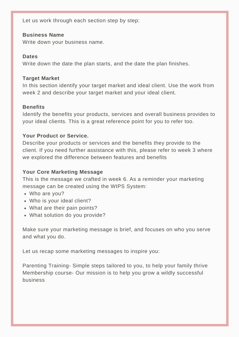Let us work through each section step by step:

#### **Business Name**

Write down your business name.

#### **Dates**

Write down the date the plan starts, and the date the plan finishes.

#### **Target Market**

In this section identify your target market and ideal client. Use the work from week 2 and describe your target market and your ideal client.

#### **Benefits**

Identify the benefits your products, services and overall business provides to your ideal clients. This is a great reference point for you to refer too.

# **Your Product or Service.**

Describe your products or services and the benefits they provide to the client. If you need further assistance with this, please refer to week 3 where we explored the difference between features and benefits

# **Your Core Marketing Message**

This is the message we crafted in week 6. As a reminder your marketing message can be created using the WIPS System:

- Who are you?
- Who is your ideal client?
- What are their pain points?
- What solution do you provide?

Make sure your marketing message is brief, and focuses on who you serve and what you do.

Let us recap some marketing messages to inspire you:

Parenting Training- Simple steps tailored to you, to help your family thrive Membership course- Our mission is to help you grow a wildly successful business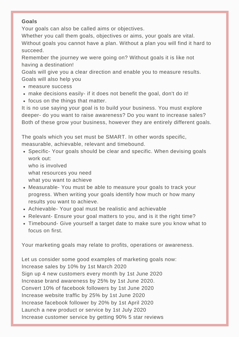# **Goals**

Your goals can also be called aims or objectives.

Whether you call them goals, objectives or aims, your goals are vital. Without goals you cannot have a plan. Without a plan you will find it hard to succeed.

Remember the journey we were going on? Without goals it is like not having a destination!

Goals will give you a clear direction and enable you to measure results. Goals will also help you

- measure success
- make decisions easily- if it does not benefit the goal, don't do it!
- focus on the things that matter.

It is no use saying your goal is to build your business. You must explore deeper- do you want to raise awareness? Do you want to increase sales? Both of these grow your business, however they are entirely different goals.

The goals which you set must be SMART. In other words specific, measurable, achievable, relevant and timebound.

• Specific- Your goals should be clear and specific. When devising goals work out:

who is involved what resources you need what you want to achieve

- Measurable- You must be able to measure your goals to track your progress. When writing your goals identify how much or how many results you want to achieve.
- Achievable- Your goal must be realistic and achievable
- Relevant- Ensure your goal matters to you, and is it the right time?
- Timebound- Give yourself a target date to make sure you know what to focus on first.

Your marketing goals may relate to profits, operations or awareness.

Let us consider some good examples of marketing goals now: Increase sales by 10% by 1st March 2020 Sign up 4 new customers every month by 1st June 2020 Increase brand awareness by 25% by 1st June 2020. Convert 10% of facebook followers by 1st June 2020 Increase website traffic by 25% by 1st June 2020 Increase facebook follower by 20% by 1st April 2020 Launch a new product or service by 1st July 2020 Increase customer service by getting 90% 5 star reviews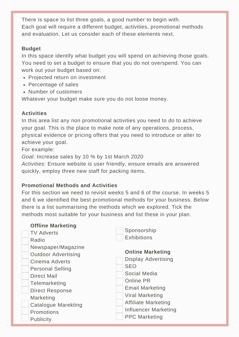There is space to list three goals, a good number to begin with. Each goal will require a different budget, activities, promotional methods and evaluation. Let us consider each of these elements next.

# **Budget**

In this space identify what budget you will spend on achieving those goals. You need to set a budget to ensure that you do not overspend. You can work out your budget based on:

- Projected return on investment
- Percentage of sales
- Number of customers

Whatever your budget make sure you do not loose money.

# **Activities**

In this area list any non promotional activities you need to do to achieve your goal. This is the place to make note of any operations, process, physical evidence or pricing offers that you need to introduce or alter to achieve your goal.

For example:

*Goal*: Increase sales by 10 % by 1st March 2020

*Activities:* Ensure website is user friendly, ensure emails are answered quickly, employ three new staff for packing items.

# **Promotional Methods and Activities**

For this section we need to revisit weeks 5 and 6 of the course. In weeks 5 and 6 we identified the best promotional methods for your business. Below there is a list summarising the methods which we explored. Tick the methods most suitable for your business and list these in your plan.

| <b>Offline Marketing</b>   |                            |
|----------------------------|----------------------------|
| <b>TV Adverts</b>          | Sponsorship                |
| Radio                      | <b>Exhibitions</b>         |
| Newspaper/Magazine         | <b>Online Marketing</b>    |
| <b>Outdoor Advertising</b> |                            |
| Cinema Adverts             | <b>Display Advertising</b> |
| <b>Personal Selling</b>    | <b>SEO</b>                 |
| <b>Direct Mail</b>         | Social Media               |
| Telemarketing              | Online PR                  |
| <b>Direct Response</b>     | <b>Email Marketing</b>     |
| Marketing                  | Viral Marketing            |
|                            | <b>Affiliate Marketing</b> |
| Catalogue Marekting        | Influencer Marketing       |
| Promotions                 |                            |
| <b>Publicity</b>           | <b>PPC Marketing</b>       |
|                            |                            |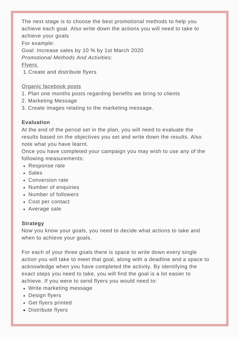The next stage is to choose the best promotional methods to help you achieve each goal. Also write down the actions you will need to take to achieve your goals For example: *Goal: I*ncrease sales by 10 % by 1st March 2020 *Promotional Methods And Activities:* Flyers

Create and distribute flyers 1.

#### Organic facebook posts

- 1. Plan one months posts regarding benefits we bring to clients
- 2. Marketing Message
- 3. Create images relating to the marketing message.

#### **Evaluation**

At the end of the period set in the plan, you will need to evaluate the results based on the objectives you set and write down the results. Also note what you have learnt.

Once you have completed your campaign you may wish to use any of the following measurements:

- Response rate
- Sales
- Conversion rate
- Number of enquiries
- Number of followers
- Cost per contact
- Average sale

#### **Strategy**

Now you know your goals, you need to decide what actions to take and when to achieve your goals.

For each of your three goals there is space to write down every single action you will take to meet that goal, along with a deadline and a space to acknowledge when you have completed the activity. By identifying the exact steps you need to take, you will find the goal is a lot easier to achieve. If you were to send flyers you would need to:

- Write marketing message
- Design flyers
- Get flyers printed
- Distribute flyers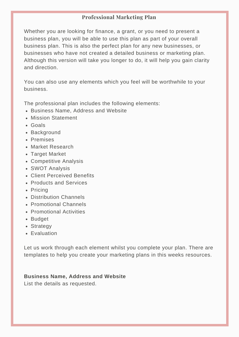# **Professional Marketing Plan**

Whether you are looking for finance, a grant, or you need to present a business plan, you will be able to use this plan as part of your overall business plan. This is also the perfect plan for any new businesses, or businesses who have not created a detailed business or marketing plan. Although this version will take you longer to do, it will help you gain clarity and direction.

You can also use any elements which you feel will be worthwhile to your business.

The professional plan includes the following elements:

- Business Name, Address and Website
- Mission Statement
- Goals
- Background
- Premises
- Market Research
- Target Market
- Competitive Analysis
- SWOT Analysis
- Client Perceived Benefits
- Products and Services
- Pricing
- Distribution Channels
- Promotional Channels
- Promotional Activities
- Budget
- Strategy
- Evaluation

Let us work through each element whilst you complete your plan. There are templates to help you create your marketing plans in this weeks resources.

#### **Business Name, Address and Website**

List the details as requested.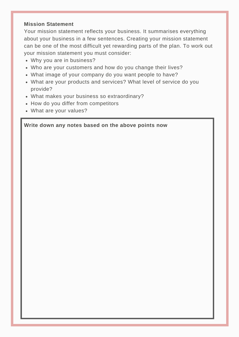#### **Mission Statement**

Your mission statement reflects your business. It summarises everything about your business in a few sentences. Creating your mission statement can be one of the most difficult yet rewarding parts of the plan. To work out your mission statement you must consider:

- Why you are in business?
- Who are your customers and how do you change their lives?
- What image of your company do you want people to have?
- What are your products and services? What level of service do you provide?
- What makes your business so extraordinary?
- How do you differ from competitors
- What are your values?

#### **Write down any notes based on the above points now**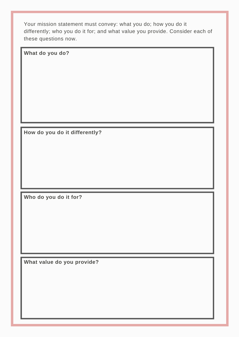Your mission statement must convey: what you do; how you do it differently; who you do it for; and what value you provide. Consider each of these questions now.

**What do you do?**

**How do you do it differently?**

**Who do you do it for?**

**What value do you provide?**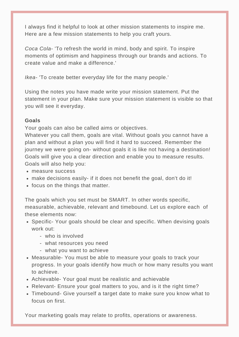I always find it helpful to look at other mission statements to inspire me. Here are a few mission statements to help you craft yours.

*Coca Cola-* 'To refresh the world in mind, body and spirit. To inspire moments of optimism and happiness through our brands and actions. To create value and make a difference.'

*Ikea-* 'To create better everyday life for the many people.'

Using the notes you have made write your mission statement. Put the statement in your plan. Make sure your mission statement is visible so that you will see it everyday.

#### **Goals**

Your goals can also be called aims or objectives.

Whatever you call them, goals are vital. Without goals you cannot have a plan and without a plan you will find it hard to succeed. Remember the journey we were going on- without goals it is like not having a destination! Goals will give you a clear direction and enable you to measure results. Goals will also help you:

- measure success
- make decisions easily- if it does not benefit the goal, don't do it!
- focus on the things that matter.

The goals which you set must be SMART. In other words specific, measurable, achievable, relevant and timebound. Let us explore each of these elements now:

- Specific- Your goals should be clear and specific. When devising goals work out:
	- who is involved
	- what resources you need
	- what you want to achieve
- Measurable- You must be able to measure your goals to track your progress. In your goals identify how much or how many results you want to achieve.
- Achievable- Your goal must be realistic and achievable
- Relevant- Ensure your goal matters to you, and is it the right time?
- Timebound- Give yourself a target date to make sure you know what to focus on first.

Your marketing goals may relate to profits, operations or awareness.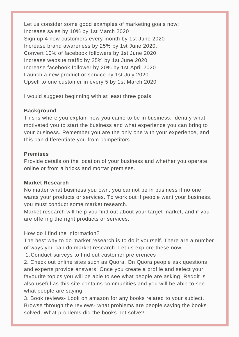Let us consider some good examples of marketing goals now: Increase sales by 10% by 1st March 2020 Sign up 4 new customers every month by 1st June 2020 Increase brand awareness by 25% by 1st June 2020. Convert 10% of facebook followers by 1st June 2020 Increase website traffic by 25% by 1st June 2020 Increase facebook follower by 20% by 1st April 2020 Launch a new product or service by 1st July 2020 Upsell to one customer in every 5 by 1st March 2020

I would suggest beginning with at least three goals.

# **Background**

This is where you explain how you came to be in business. Identify what motivated you to start the business and what experience you can bring to your business. Remember you are the only one with your experience, and this can differentiate you from competitors.

#### **Premises**

Provide details on the location of your business and whether you operate online or from a bricks and mortar premises.

#### **Market Research**

No matter what business you own, you cannot be in business if no one wants your products or services. To work out if people want your business, you must conduct some market research.

Market research will help you find out about your target market, and if you are offering the right products or services.

# How do I find the information?

The best way to do market research is to do it yourself. There are a number of ways you can do market research. Let us explore these now.

Conduct surveys to find out customer preferences 1.

2. Check out online sites such as Quora. On Quora people ask questions and experts provide answers. Once you create a profile and select your favourite topics you will be able to see what people are asking. Reddit is also useful as this site contains communities and you will be able to see what people are saying.

3. Book reviews- Look on amazon for any books related to your subject. Browse through the reviews- what problems are people saying the books solved. What problems did the books not solve?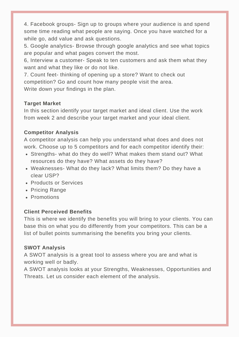4. Facebook groups- Sign up to groups where your audience is and spend some time reading what people are saying. Once you have watched for a while go, add value and ask questions.

5. Google analytics- Browse through google analytics and see what topics are popular and what pages convert the most.

6, Interview a customer- Speak to ten customers and ask them what they want and what they like or do not like.

7. Count feet- thinking of opening up a store? Want to check out competition? Go and count how many people visit the area. Write down your findings in the plan.

#### **Target Market**

In this section identify your target market and ideal client. Use the work from week 2 and describe your target market and your ideal client.

# **Competitor Analysis**

A competitor analysis can help you understand what does and does not work. Choose up to 5 competitors and for each competitor identify their:

- Strengths- what do they do well? What makes them stand out? What resources do they have? What assets do they have?
- Weaknesses- What do they lack? What limits them? Do they have a clear USP?
- Products or Services
- Pricing Range
- Promotions

# **Client Perceived Benefits**

This is where we identify the benefits you will bring to your clients. You can base this on what you do differently from your competitors. This can be a list of bullet points summarising the benefits you bring your clients.

#### **SWOT Analysis**

A SWOT analysis is a great tool to assess where you are and what is working well or badly.

A SWOT analysis looks at your Strengths, Weaknesses, Opportunities and Threats. Let us consider each element of the analysis.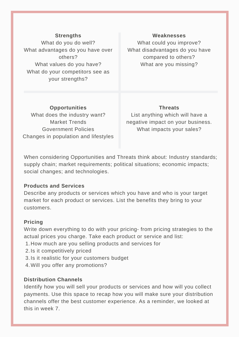#### **Strengths**

What do you do well? What advantages do you have over others? What values do you have? What do your competitors see as your strengths?

#### **Weaknesses**

What could you improve? What disadvantages do you have compared to others? What are you missing?

**Opportunities** What does the industry want? Market Trends Government Policies Changes in population and lifestyles

#### **Threats**

List anything which will have a negative impact on your business. What impacts your sales?

When considering Opportunities and Threats think about: Industry standards; supply chain; market requirements; political situations; economic impacts; social changes; and technologies.

#### **Products and Services**

Describe any products or services which you have and who is your target market for each product or services. List the benefits they bring to your customers.

#### **Pricing**

Write down everything to do with your pricing- from pricing strategies to the actual prices you charge. Take each product or service and list:

- 1. How much are you selling products and services for
- 2. Is it competitively priced
- 3. Is it realistic for your customers budget
- 4. Will you offer any promotions?

#### **Distribution Channels**

Identify how you will sell your products or services and how will you collect payments. Use this space to recap how you will make sure your distribution channels offer the best customer experience. As a reminder, we looked at this in week 7.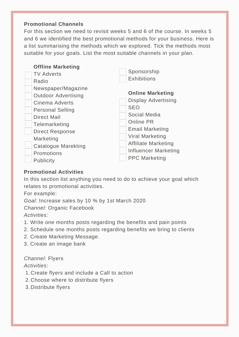#### **Promotional Channels**

For this section we need to revisit weeks 5 and 6 of the course. In weeks 5 and 6 we identified the best promotional methods for your business. Here is a list summarising the methods which we explored. Tick the methods most suitable for your goals. List the most suitable channels in your plan.

| <b>Offline Marketing</b><br><b>TV Adverts</b>                                                                                                                                                                             | Sponsorship<br><b>Exhibitions</b>                                                                                                                                                                          |
|---------------------------------------------------------------------------------------------------------------------------------------------------------------------------------------------------------------------------|------------------------------------------------------------------------------------------------------------------------------------------------------------------------------------------------------------|
| Radio<br>Newspaper/Magazine<br><b>Outdoor Advertising</b><br>Cinema Adverts<br><b>Personal Selling</b><br><b>Direct Mail</b><br>Telemarketing<br><b>Direct Response</b><br>Marketing<br>Catalogue Marekting<br>Promotions | <b>Online Marketing</b><br><b>Display Advertising</b><br><b>SEO</b><br>Social Media<br>Online PR<br><b>Email Marketing</b><br>Viral Marketing<br><b>Affiliate Marketing</b><br><b>Influencer Marketing</b> |
| Publicity                                                                                                                                                                                                                 | <b>PPC Marketing</b>                                                                                                                                                                                       |

#### **Promotional Activities**

In this section list anything you need to do to achieve your goal which relates to promotional activities.

For example:

*Goal*: Increase sales by 10 % by 1st March 2020 *Channel:* Organic Facebook *Activities:*

- 1. Write one months posts regarding the benefits and pain points
- 2. Schedule one months posts regarding benefits we bring to clients
- 2. Create Marketing Message.
- 3. Create an image bank

# *Channel:* Flyers

#### *Activities:*

- Create flyers and include a Call to action 1.
- Choose where to distribute flyers 2.
- Distribute flyers 3.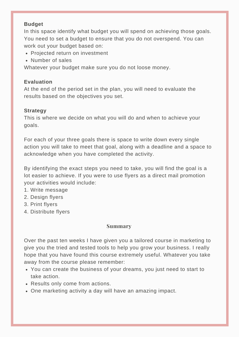#### **Budget**

In this space identify what budget you will spend on achieving those goals. You need to set a budget to ensure that you do not overspend. You can work out your budget based on:

- Projected return on investment
- Number of sales

Whatever your budget make sure you do not loose money.

# **Evaluation**

At the end of the period set in the plan, you will need to evaluate the results based on the objectives you set.

# **Strategy**

This is where we decide on what you will do and when to achieve your goals.

For each of your three goals there is space to write down every single action you will take to meet that goal, along with a deadline and a space to acknowledge when you have completed the activity.

By identifying the exact steps you need to take, you will find the goal is a lot easier to achieve. If you were to use flyers as a direct mail promotion your activities would include:

- 1. Write message
- 2. Design flyers
- 3. Print flyers
- 4. Distribute flyers

# **Summary**

Over the past ten weeks I have given you a tailored course in marketing to give you the tried and tested tools to help you grow your business. I really hope that you have found this course extremely useful. Whatever you take away from the course please remember:

- You can create the business of your dreams, you just need to start to take action.
- Results only come from actions.
- One marketing activity a day will have an amazing impact.